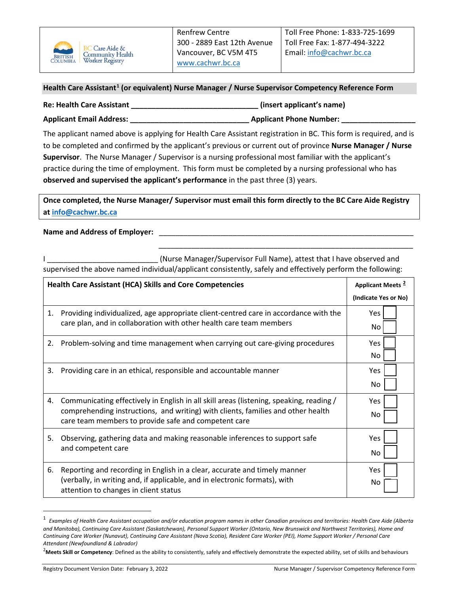

## **Health Care Assistant[1](#page-0-0) (or equivalent) Nurse Manager / Nurse Supervisor Competency Reference Form**

| <b>Re: Health Care Assistant</b> | (insert applicant's name)      |
|----------------------------------|--------------------------------|
| <b>Applicant Email Address:</b>  | <b>Applicant Phone Number:</b> |

The applicant named above is applying for Health Care Assistant registration in BC. This form is required, and is to be completed and confirmed by the applicant's previous or current out of province **Nurse Manager / Nurse Supervisor**. The Nurse Manager / Supervisor is a nursing professional most familiar with the applicant's practice during the time of employment. This form must be completed by a nursing professional who has **observed and supervised the applicant's performance** in the past three (3) years.

**Once completed, the Nurse Manager/ Supervisor must email this form directly to the BC Care Aide Registry at [info@cachwr.bc.ca](mailto:info@cachwr.bc.ca)**

## Name and Address of Employer:

I Letter Course Manager/Supervisor Full Name), attest that I have observed and supervised the above named individual/applicant consistently, safely and effectively perform the following:

\_\_\_\_\_\_\_\_\_\_\_\_\_\_\_\_\_\_\_\_\_\_\_\_\_\_\_\_\_\_\_\_\_\_\_\_\_\_\_\_\_\_\_\_\_\_\_\_\_\_\_\_\_\_\_\_\_\_\_\_\_\_

| <b>Health Care Assistant (HCA) Skills and Core Competencies</b> | Applicant Meets <sup>2</sup>                                                                                                                                                                                                        |                      |
|-----------------------------------------------------------------|-------------------------------------------------------------------------------------------------------------------------------------------------------------------------------------------------------------------------------------|----------------------|
|                                                                 |                                                                                                                                                                                                                                     | (Indicate Yes or No) |
| 1.                                                              | Providing individualized, age appropriate client-centred care in accordance with the<br>care plan, and in collaboration with other health care team members                                                                         | Yes<br>No            |
| 2.                                                              | Problem-solving and time management when carrying out care-giving procedures                                                                                                                                                        | <b>Yes</b><br>No.    |
| 3.                                                              | Providing care in an ethical, responsible and accountable manner                                                                                                                                                                    | Yes<br>No            |
| 4.                                                              | Communicating effectively in English in all skill areas (listening, speaking, reading /<br>comprehending instructions, and writing) with clients, families and other health<br>care team members to provide safe and competent care | <b>Yes</b><br>No     |
| 5.                                                              | Observing, gathering data and making reasonable inferences to support safe<br>and competent care                                                                                                                                    | Yes<br>No            |
| 6.                                                              | Reporting and recording in English in a clear, accurate and timely manner<br>(verbally, in writing and, if applicable, and in electronic formats), with<br>attention to changes in client status                                    | <b>Yes</b><br>No     |

<span id="page-0-0"></span><sup>1</sup> *Examples of Health Care Assistant occupation and/or education program names in other Canadian provinces and territories: Health Care Aide (Alberta and Manitoba), Continuing Care Assistant (Saskatchewan), Personal Support Worker (Ontario, New Brunswick and Northwest Territories), Home and Continuing Care Worker (Nunavut), Continuing Care Assistant (Nova Scotia), Resident Care Worker (PEI), Home Support Worker / Personal Care Attendant (Newfoundland & Labrador)*

<span id="page-0-1"></span><sup>&</sup>lt;sup>2</sup>Meets Skill or Competency: Defined as the ability to consistently, safely and effectively demonstrate the expected ability, set of skills and behaviours